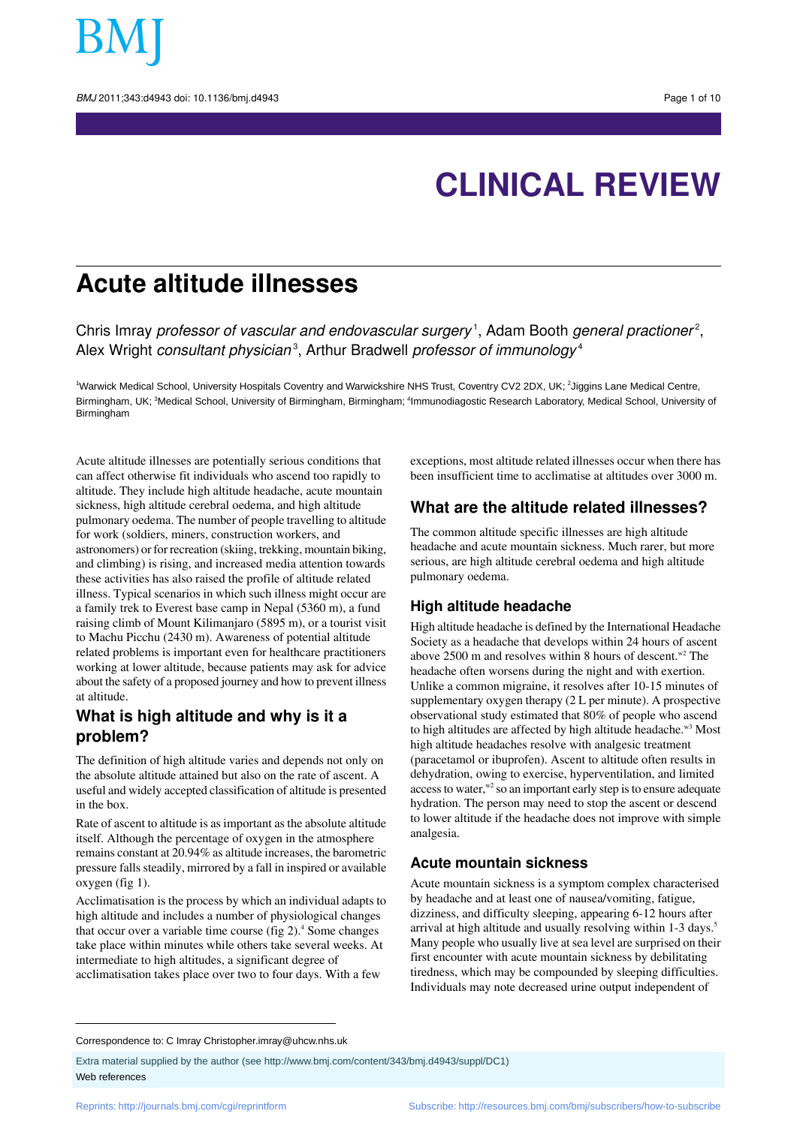

## **Acute altitude illnesses**

Chris Imray *professor of vascular and endovascular surgery*  $^1$ , Adam Booth *general practioner* $^2$ , Alex Wright *consultant physician*<sup>3</sup>, Arthur Bradwell *professor of immunology<sup>4</sup>* 

<sup>1</sup>Warwick Medical School, University Hospitals Coventry and Warwickshire NHS Trust, Coventry CV2 2DX, UK; <sup>2</sup>Jiggins Lane Medical Centre, Birmingham, UK; <sup>3</sup>Medical School, University of Birmingham, Birmingham; <sup>4</sup>Immunodiagostic Research Laboratory, Medical School, University ot Birmingham

Acute altitude illnesses are potentially serious conditions that can affect otherwise fit individuals who ascend too rapidly to altitude. They include high altitude headache, acute mountain sickness, high altitude cerebral oedema, and high altitude pulmonary oedema. The number of people travelling to altitude for work (soldiers, miners, construction workers, and astronomers) or for recreation (skiing, trekking, mountain biking, and climbing) is rising, and increased media attention towards these activities has also raised the profile of altitude related illness. Typical scenarios in which such illness might occur are a family trek to Everest base camp in Nepal (5360 m), a fund raising climb of Mount Kilimanjaro (5895 m), or a tourist visit to Machu Picchu (2430 m). Awareness of potential altitude related problems is important even for healthcare practitioners working at lower altitude, because patients may ask for advice about the safety of a proposed journey and how to prevent illness at altitude.

## **What is high altitude and why is it a problem?**

The definition of high altitude varies and depends not only on the absolute altitude attained but also on the rate of ascent. A useful and widely accepted classification of altitude is presented in the box.

Rate of ascent to altitude is as important as the absolute altitude itself. Although the percentage of oxygen in the atmosphere remains constant at 20.94% as altitude increases, the barometric pressure falls steadily, mirrored by a fall in inspired or available oxygen (fig 1).

Acclimatisation is the process by which an individual adapts to high altitude and includes a number of physiological changes that occur over a variable time course (fig  $2$ ).<sup>4</sup> Some changes take place within minutes while others take several weeks. At intermediate to high altitudes, a significant degree of acclimatisation takes place over two to four days. With a few

exceptions, most altitude related illnesses occur when there has been insufficient time to acclimatise at altitudes over 3000 m.

## **What are the altitude related illnesses?**

The common altitude specific illnesses are high altitude headache and acute mountain sickness. Much rarer, but more serious, are high altitude cerebral oedema and high altitude pulmonary oedema.

## **High altitude headache**

High altitude headache is defined by the International Headache Society as a headache that develops within 24 hours of ascent above 2500 m and resolves within 8 hours of descent.<sup>w2</sup> The headache often worsens during the night and with exertion. Unlike a common migraine, it resolves after 10-15 minutes of supplementary oxygen therapy (2 L per minute). A prospective observational study estimated that 80% of people who ascend to high altitudes are affected by high altitude headache.<sup>w3</sup> Most high altitude headaches resolve with analgesic treatment (paracetamol or ibuprofen). Ascent to altitude often results in dehydration, owing to exercise, hyperventilation, and limited access to water, $x^2$  so an important early step is to ensure adequate hydration. The person may need to stop the ascent or descend to lower altitude if the headache does not improve with simple analgesia.

## **Acute mountain sickness**

Acute mountain sickness is a symptom complex characterised by headache and at least one of nausea/vomiting, fatigue, dizziness, and difficulty sleeping, appearing 6-12 hours after arrival at high altitude and usually resolving within 1-3 days.<sup>5</sup> Many people who usually live at sea level are surprised on their first encounter with acute mountain sickness by debilitating tiredness, which may be compounded by sleeping difficulties. Individuals may note decreased urine output independent of

Correspondence to: C Imray Christopher.imray@uhcw.nhs.uk

Extra material supplied by the author (see [http://www.bmj.com/content/343/bmj.d4943/suppl/DC1\)](http://www.bmj.com/content/343/bmj.d4943/suppl/DC1) Web references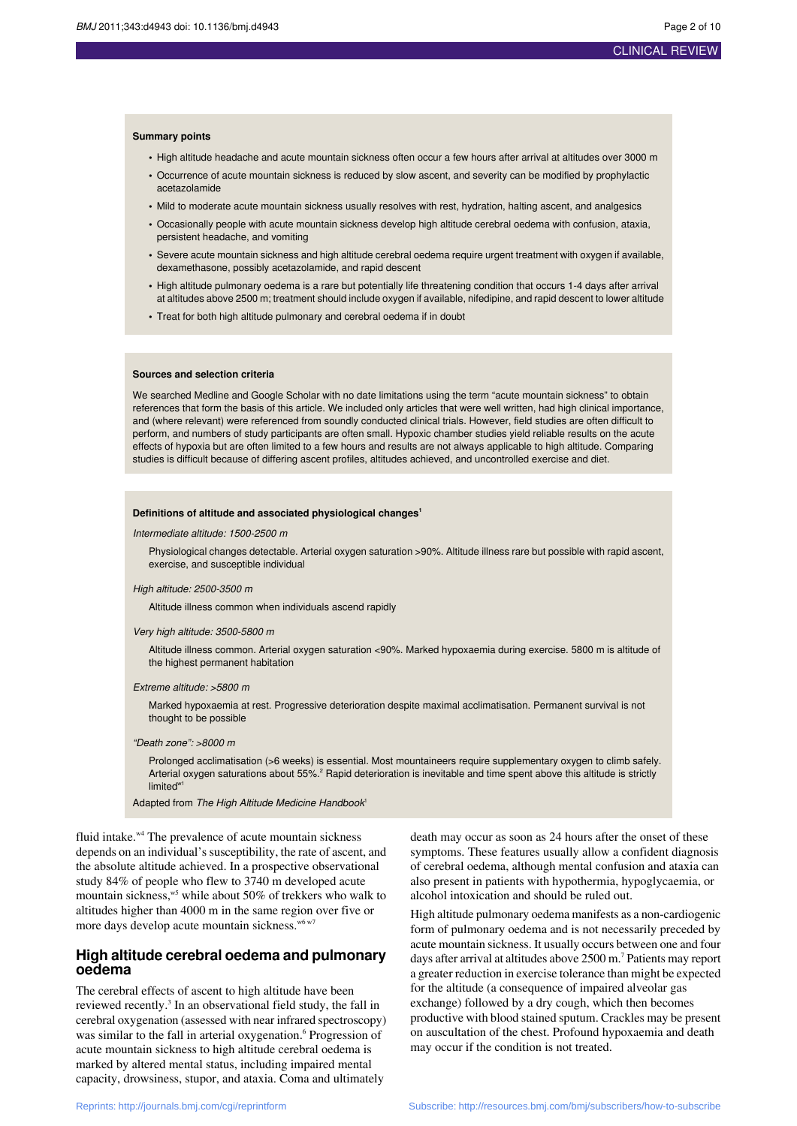#### **Summary points**

- **•** High altitude headache and acute mountain sickness often occur a few hours after arrival at altitudes over 3000 m
- **•** Occurrence of acute mountain sickness is reduced by slow ascent, and severity can be modified by prophylactic acetazolamide
- **•** Mild to moderate acute mountain sickness usually resolves with rest, hydration, halting ascent, and analgesics
- **•** Occasionally people with acute mountain sickness develop high altitude cerebral oedema with confusion, ataxia, persistent headache, and vomiting
- **•** Severe acute mountain sickness and high altitude cerebral oedema require urgent treatment with oxygen if available, dexamethasone, possibly acetazolamide, and rapid descent
- **•** High altitude pulmonary oedema is a rare but potentially life threatening condition that occurs 1-4 days after arrival at altitudes above 2500 m; treatment should include oxygen if available, nifedipine, and rapid descent to lower altitude
- **•** Treat for both high altitude pulmonary and cerebral oedema if in doubt

#### **Sources and selection criteria**

We searched Medline and Google Scholar with no date limitations using the term "acute mountain sickness" to obtain references that form the basis of this article. We included only articles that were well written, had high clinical importance, and (where relevant) were referenced from soundly conducted clinical trials. However, field studies are often difficult to perform, and numbers of study participants are often small. Hypoxic chamber studies yield reliable results on the acute effects of hypoxia but are often limited to a few hours and results are not always applicable to high altitude. Comparing studies is difficult because of differing ascent profiles, altitudes achieved, and uncontrolled exercise and diet.

#### **Definitions of altitude and associated physiological changes<sup>1</sup>**

Intermediate altitude: 1500-2500 m

Physiological changes detectable. Arterial oxygen saturation >90%. Altitude illness rare but possible with rapid ascent, exercise, and susceptible individual

#### High altitude: 2500-3500 m

Altitude illness common when individuals ascend rapidly

#### Very high altitude: 3500-5800 m

Altitude illness common. Arterial oxygen saturation <90%. Marked hypoxaemia during exercise. 5800 m is altitude of the highest permanent habitation

#### Extreme altitude: >5800 m

Marked hypoxaemia at rest. Progressive deterioration despite maximal acclimatisation. Permanent survival is not thought to be possible

#### "Death zone": >8000 m

Prolonged acclimatisation (>6 weeks) is essential. Most mountaineers require supplementary oxygen to climb safely. Arterial oxygen saturations about 55%.<sup>2</sup> Rapid deterioration is inevitable and time spent above this altitude is strictly limited<sup>w</sup>

Adapted from The High Altitude Medicine Handbook $1$ 

fluid intake.<sup>w4</sup> The prevalence of acute mountain sickness depends on an individual's susceptibility, the rate of ascent, and the absolute altitude achieved. In a prospective observational study 84% of people who flew to 3740 m developed acute mountain sickness,  $\frac{1}{2}$  while about 50% of trekkers who walk to altitudes higher than 4000 m in the same region over five or more days develop acute mountain sickness. $w_0$ <sup>6</sup> w<sub>7</sub>

#### **High altitude cerebral oedema and pulmonary oedema**

The cerebral effects of ascent to high altitude have been reviewed recently.<sup>3</sup> In an observational field study, the fall in cerebral oxygenation (assessed with near infrared spectroscopy) was similar to the fall in arterial oxygenation.<sup>6</sup> Progression of acute mountain sickness to high altitude cerebral oedema is marked by altered mental status, including impaired mental capacity, drowsiness, stupor, and ataxia. Coma and ultimately

death may occur as soon as 24 hours after the onset of these symptoms. These features usually allow a confident diagnosis of cerebral oedema, although mental confusion and ataxia can also present in patients with hypothermia, hypoglycaemia, or alcohol intoxication and should be ruled out.

High altitude pulmonary oedema manifests as a non-cardiogenic form of pulmonary oedema and is not necessarily preceded by acute mountain sickness. It usually occurs between one and four days after arrival at altitudes above 2500 m.<sup>7</sup> Patients may report a greater reduction in exercise tolerance than might be expected for the altitude (a consequence of impaired alveolar gas exchange) followed by a dry cough, which then becomes productive with blood stained sputum. Crackles may be present on auscultation of the chest. Profound hypoxaemia and death may occur if the condition is not treated.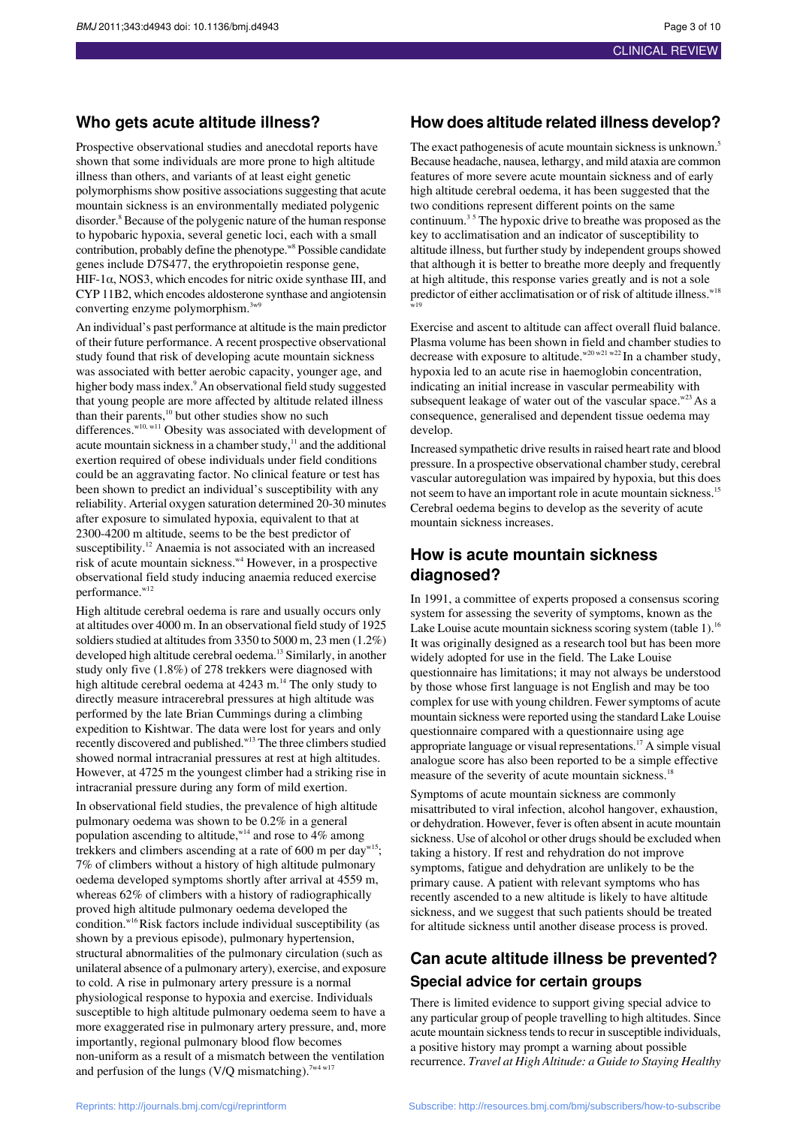## **Who gets acute altitude illness?**

Prospective observational studies and anecdotal reports have shown that some individuals are more prone to high altitude illness than others, and variants of at least eight genetic polymorphisms show positive associations suggesting that acute mountain sickness is an environmentally mediated polygenic disorder.<sup>8</sup> Because of the polygenic nature of the human response to hypobaric hypoxia, several genetic loci, each with a small contribution, probably define the phenotype.<sup>w8</sup> Possible candidate genes include D7S477, the erythropoietin response gene, HIF-1 $\alpha$ , NOS3, which encodes for nitric oxide synthase III, and CYP 11B2, which encodes aldosterone synthase and angiotensin converting enzyme polymorphism.<sup>3w9</sup>

An individual's past performance at altitude is the main predictor of their future performance. A recent prospective observational study found that risk of developing acute mountain sickness was associated with better aerobic capacity, younger age, and higher body mass index.<sup>9</sup> An observational field study suggested that young people are more affected by altitude related illness than their parents,<sup>10</sup> but other studies show no such differences.<sup>w10, w11</sup> Obesity was associated with development of acute mountain sickness in a chamber study, $\frac{11}{11}$  and the additional exertion required of obese individuals under field conditions could be an aggravating factor. No clinical feature or test has been shown to predict an individual's susceptibility with any reliability. Arterial oxygen saturation determined 20-30 minutes after exposure to simulated hypoxia, equivalent to that at 2300-4200 m altitude, seems to be the best predictor of susceptibility.<sup>12</sup> Anaemia is not associated with an increased risk of acute mountain sickness.<sup>w4</sup> However, in a prospective observational field study inducing anaemia reduced exercise performance.<sup>w12</sup>

High altitude cerebral oedema is rare and usually occurs only at altitudes over 4000 m. In an observational field study of 1925 soldiers studied at altitudes from  $3350$  to  $5000$  m,  $23$  men (1.2%) developed high altitude cerebral oedema.<sup>13</sup> Similarly, in another study only five (1.8%) of 278 trekkers were diagnosed with high altitude cerebral oedema at  $4243 \text{ m}$ .<sup>14</sup> The only study to directly measure intracerebral pressures at high altitude was performed by the late Brian Cummings during a climbing expedition to Kishtwar. The data were lost for years and only recently discovered and published.<sup>w13</sup> The three climbers studied showed normal intracranial pressures at rest at high altitudes. However, at 4725 m the youngest climber had a striking rise in intracranial pressure during any form of mild exertion.

In observational field studies, the prevalence of high altitude pulmonary oedema was shown to be 0.2% in a general population ascending to altitude,  $W^{14}$  and rose to 4% among trekkers and climbers ascending at a rate of 600 m per day<sup>w15</sup>; 7% of climbers without a history of high altitude pulmonary oedema developed symptoms shortly after arrival at 4559 m, whereas 62% of climbers with a history of radiographically proved high altitude pulmonary oedema developed the condition.<sup>w16</sup>Risk factors include individual susceptibility (as shown by a previous episode), pulmonary hypertension, structural abnormalities of the pulmonary circulation (such as unilateral absence of a pulmonary artery), exercise, and exposure to cold. A rise in pulmonary artery pressure is a normal physiological response to hypoxia and exercise. Individuals susceptible to high altitude pulmonary oedema seem to have a more exaggerated rise in pulmonary artery pressure, and, more importantly, regional pulmonary blood flow becomes non-uniform as a result of a mismatch between the ventilation and perfusion of the lungs (V/Q mismatching).<sup>7w4 w17</sup>

## **How does altitude related illness develop?**

The exact pathogenesis of acute mountain sickness is unknown.<sup>5</sup> Because headache, nausea, lethargy, and mild ataxia are common features of more severe acute mountain sickness and of early high altitude cerebral oedema, it has been suggested that the two conditions represent different points on the same continuum.<sup>3</sup> <sup>5</sup> The hypoxic drive to breathe was proposed as the key to acclimatisation and an indicator of susceptibility to altitude illness, but further study by independent groups showed that although it is better to breathe more deeply and frequently at high altitude, this response varies greatly and is not a sole predictor of either acclimatisation or of risk of altitude illness.<sup>w18</sup> w19

Exercise and ascent to altitude can affect overall fluid balance. Plasma volume has been shown in field and chamber studies to decrease with exposure to altitude.<sup>w20 w21 w22</sup> In a chamber study, hypoxia led to an acute rise in haemoglobin concentration, indicating an initial increase in vascular permeability with subsequent leakage of water out of the vascular space. $w^{23}$  As a consequence, generalised and dependent tissue oedema may develop.

Increased sympathetic drive resultsin raised heart rate and blood pressure. In a prospective observational chamber study, cerebral vascular autoregulation was impaired by hypoxia, but this does not seem to have an important role in acute mountain sickness.<sup>15</sup> Cerebral oedema begins to develop as the severity of acute mountain sickness increases.

## **How is acute mountain sickness diagnosed?**

In 1991, a committee of experts proposed a consensus scoring system for assessing the severity of symptoms, known as the Lake Louise acute mountain sickness scoring system (table 1).<sup>16</sup> It was originally designed as a research tool but has been more widely adopted for use in the field. The Lake Louise questionnaire has limitations; it may not always be understood by those whose first language is not English and may be too complex for use with young children. Fewer symptoms of acute mountain sickness were reported using the standard Lake Louise questionnaire compared with a questionnaire using age appropriate language or visual representations.<sup>17</sup> A simple visual analogue score has also been reported to be a simple effective measure of the severity of acute mountain sickness.<sup>18</sup>

Symptoms of acute mountain sickness are commonly misattributed to viral infection, alcohol hangover, exhaustion, or dehydration. However, fever is often absent in acute mountain sickness. Use of alcohol or other drugs should be excluded when taking a history. If rest and rehydration do not improve symptoms, fatigue and dehydration are unlikely to be the primary cause. A patient with relevant symptoms who has recently ascended to a new altitude is likely to have altitude sickness, and we suggest that such patients should be treated for altitude sickness until another disease process is proved.

## **Can acute altitude illness be prevented? Special advice for certain groups**

There is limited evidence to support giving special advice to any particular group of people travelling to high altitudes. Since acute mountain sickness tends to recur in susceptible individuals, a positive history may prompt a warning about possible recurrence. *Travel at High Altitude: a Guide to Staying Healthy*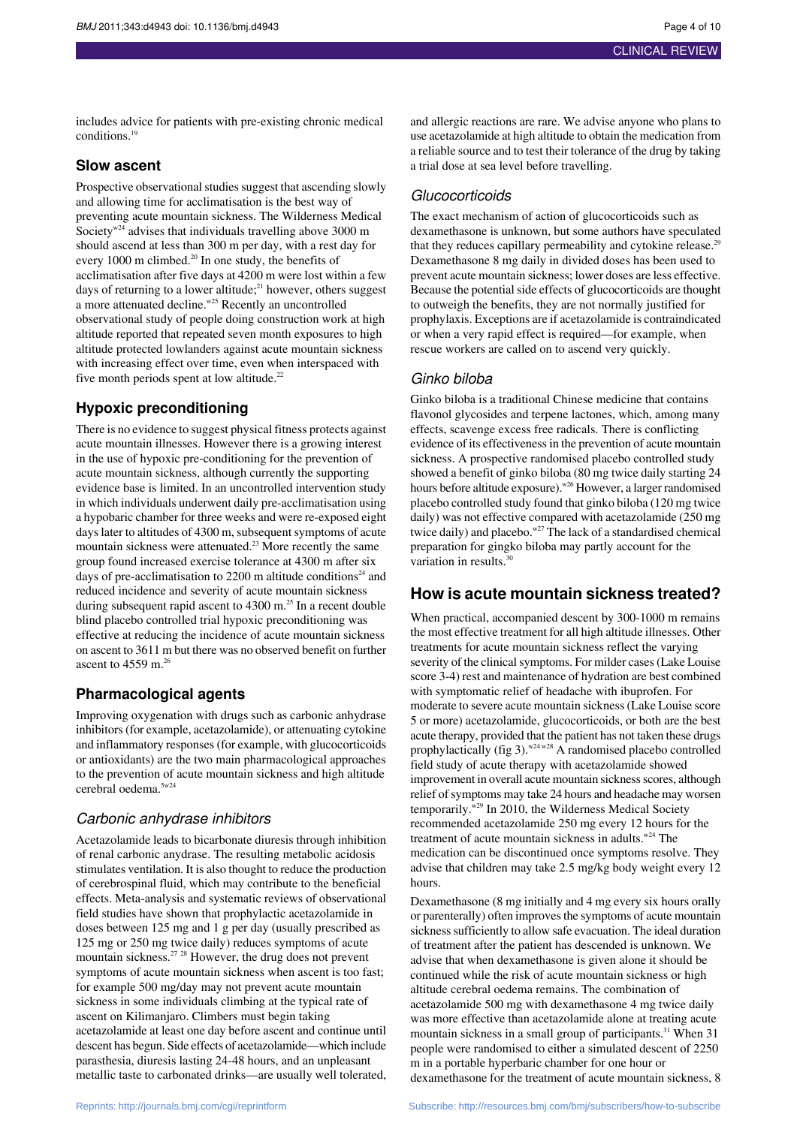includes advice for patients with pre-existing chronic medical conditions.<sup>19</sup>

#### **Slow ascent**

Prospective observational studies suggest that ascending slowly and allowing time for acclimatisation is the best way of preventing acute mountain sickness. The Wilderness Medical Society $\sqrt[n]{4}$  advises that individuals travelling above 3000 m should ascend at less than 300 m per day, with a rest day for every 1000 m climbed.<sup>20</sup> In one study, the benefits of acclimatisation after five days at 4200 m were lost within a few days of returning to a lower altitude; $^{21}$  however, others suggest a more attenuated decline.<sup>w25</sup> Recently an uncontrolled observational study of people doing construction work at high altitude reported that repeated seven month exposures to high altitude protected lowlanders against acute mountain sickness with increasing effect over time, even when interspaced with five month periods spent at low altitude.<sup>22</sup>

## **Hypoxic preconditioning**

There is no evidence to suggest physical fitness protects against acute mountain illnesses. However there is a growing interest in the use of hypoxic pre-conditioning for the prevention of acute mountain sickness, although currently the supporting evidence base is limited. In an uncontrolled intervention study in which individuals underwent daily pre-acclimatisation using a hypobaric chamber for three weeks and were re-exposed eight days later to altitudes of 4300 m, subsequent symptoms of acute mountain sickness were attenuated.<sup>23</sup> More recently the same group found increased exercise tolerance at 4300 m after six days of pre-acclimatisation to  $2200$  m altitude conditions<sup>24</sup> and reduced incidence and severity of acute mountain sickness during subsequent rapid ascent to 4300 m.<sup>25</sup> In a recent double blind placebo controlled trial hypoxic preconditioning was effective at reducing the incidence of acute mountain sickness on ascent to 3611 m but there was no observed benefit on further ascent to 4559 m. $^{26}$ 

## **Pharmacological agents**

Improving oxygenation with drugs such as carbonic anhydrase inhibitors(for example, acetazolamide), or attenuating cytokine and inflammatory responses (for example, with glucocorticoids or antioxidants) are the two main pharmacological approaches to the prevention of acute mountain sickness and high altitude cerebral oedema.<sup>5w24</sup>

#### Carbonic anhydrase inhibitors

Acetazolamide leads to bicarbonate diuresis through inhibition of renal carbonic anydrase. The resulting metabolic acidosis stimulates ventilation. It is also thought to reduce the production of cerebrospinal fluid, which may contribute to the beneficial effects. Meta-analysis and systematic reviews of observational field studies have shown that prophylactic acetazolamide in doses between 125 mg and 1 g per day (usually prescribed as 125 mg or 250 mg twice daily) reduces symptoms of acute mountain sickness.<sup>27</sup> <sup>28</sup> However, the drug does not prevent symptoms of acute mountain sickness when ascent is too fast; for example 500 mg/day may not prevent acute mountain sickness in some individuals climbing at the typical rate of ascent on Kilimanjaro. Climbers must begin taking acetazolamide at least one day before ascent and continue until descent has begun. Side effects of acetazolamide—which include parasthesia, diuresis lasting 24-48 hours, and an unpleasant metallic taste to carbonated drinks—are usually well tolerated,

and allergic reactions are rare. We advise anyone who plans to use acetazolamide at high altitude to obtain the medication from a reliable source and to test their tolerance of the drug by taking a trial dose at sea level before travelling.

## **Glucocorticoids**

The exact mechanism of action of glucocorticoids such as dexamethasone is unknown, but some authors have speculated that they reduces capillary permeability and cytokine release.<sup>29</sup> Dexamethasone 8 mg daily in divided doses has been used to prevent acute mountain sickness; lower doses are less effective. Because the potential side effects of glucocorticoids are thought to outweigh the benefits, they are not normally justified for prophylaxis. Exceptions are if acetazolamide is contraindicated or when a very rapid effect is required—for example, when rescue workers are called on to ascend very quickly.

#### Ginko biloba

Ginko biloba is a traditional Chinese medicine that contains flavonol glycosides and terpene lactones, which, among many effects, scavenge excess free radicals. There is conflicting evidence of its effectivenessin the prevention of acute mountain sickness. A prospective randomised placebo controlled study showed a benefit of ginko biloba (80 mg twice daily starting 24 hours before altitude exposure).<sup>w26</sup> However, a larger randomised placebo controlled study found that ginko biloba (120 mg twice daily) was not effective compared with acetazolamide (250 mg twice daily) and placebo.<sup>w27</sup> The lack of a standardised chemical preparation for gingko biloba may partly account for the variation in results.<sup>30</sup>

## **How is acute mountain sickness treated?**

When practical, accompanied descent by 300-1000 m remains the most effective treatment for all high altitude illnesses. Other treatments for acute mountain sickness reflect the varying severity of the clinical symptoms. For milder cases (Lake Louise score 3-4) rest and maintenance of hydration are best combined with symptomatic relief of headache with ibuprofen. For moderate to severe acute mountain sickness(Lake Louise score 5 or more) acetazolamide, glucocorticoids, or both are the best acute therapy, provided that the patient has not taken these drugs prophylactically (fig 3).  $x^{24 w28}$  A randomised placebo controlled field study of acute therapy with acetazolamide showed improvement in overall acute mountain sickness scores, although relief of symptoms may take 24 hours and headache may worsen temporarily.<sup>w29</sup> In 2010, the Wilderness Medical Society recommended acetazolamide 250 mg every 12 hours for the treatment of acute mountain sickness in adults.<sup>w24</sup> The medication can be discontinued once symptoms resolve. They advise that children may take 2.5 mg/kg body weight every 12 hours.

Dexamethasone (8 mg initially and 4 mg every six hours orally or parenterally) often improves the symptoms of acute mountain sickness sufficiently to allow safe evacuation. The ideal duration of treatment after the patient has descended is unknown. We advise that when dexamethasone is given alone it should be continued while the risk of acute mountain sickness or high altitude cerebral oedema remains. The combination of acetazolamide 500 mg with dexamethasone 4 mg twice daily was more effective than acetazolamide alone at treating acute mountain sickness in a small group of participants.<sup>31</sup> When 31 people were randomised to either a simulated descent of 2250 m in a portable hyperbaric chamber for one hour or dexamethasone for the treatment of acute mountain sickness, 8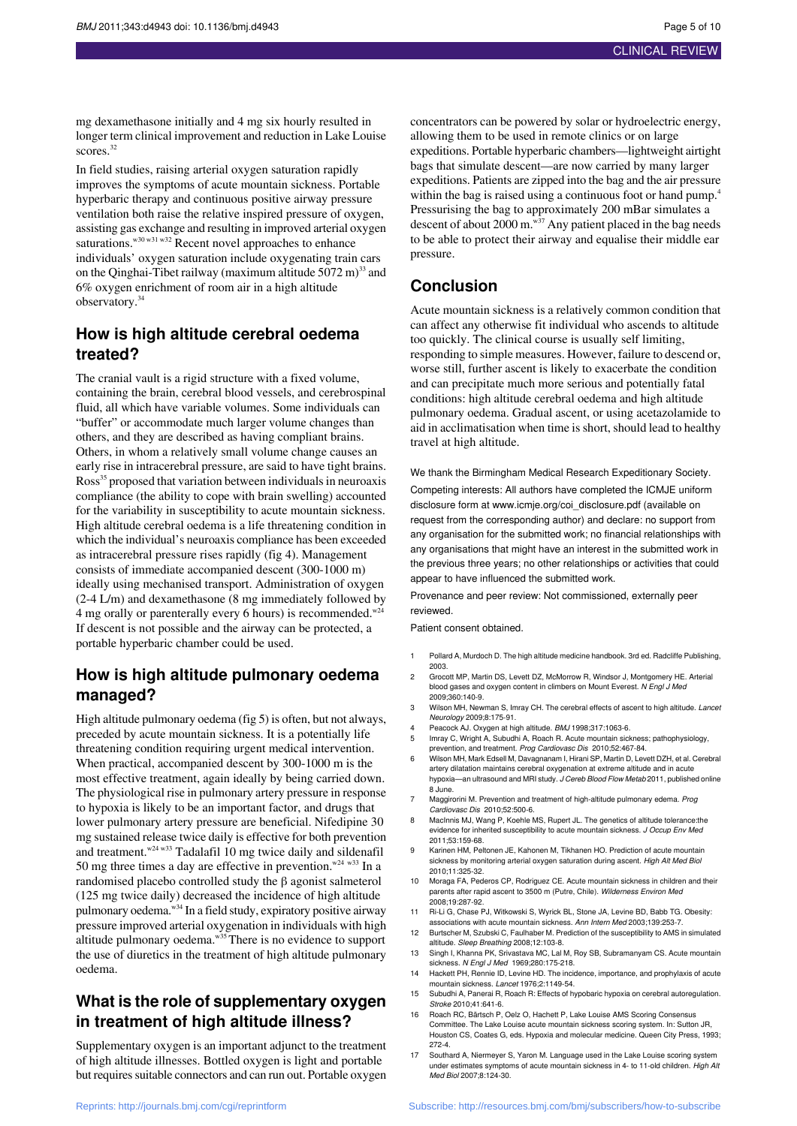mg dexamethasone initially and 4 mg six hourly resulted in longer term clinical improvement and reduction in Lake Louise scores.<sup>3</sup>

In field studies, raising arterial oxygen saturation rapidly improves the symptoms of acute mountain sickness. Portable hyperbaric therapy and continuous positive airway pressure ventilation both raise the relative inspired pressure of oxygen, assisting gas exchange and resulting in improved arterial oxygen saturations.<sup>w30 w31 w32</sup> Recent novel approaches to enhance individuals' oxygen saturation include oxygenating train cars on the Qinghai-Tibet railway (maximum altitude  $5072 \text{ m}^{33}$  and 6% oxygen enrichment of room air in a high altitude observatory.<sup>34</sup>

## **How is high altitude cerebral oedema treated?**

The cranial vault is a rigid structure with a fixed volume, containing the brain, cerebral blood vessels, and cerebrospinal fluid, all which have variable volumes. Some individuals can "buffer" or accommodate much larger volume changes than others, and they are described as having compliant brains. Others, in whom a relatively small volume change causes an early rise in intracerebral pressure, are said to have tight brains. Ross<sup>35</sup> proposed that variation between individuals in neuroaxis compliance (the ability to cope with brain swelling) accounted for the variability in susceptibility to acute mountain sickness. High altitude cerebral oedema is a life threatening condition in which the individual's neuroaxis compliance has been exceeded as intracerebral pressure rises rapidly (fig 4). Management consists of immediate accompanied descent (300-1000 m) ideally using mechanised transport. Administration of oxygen (2-4 L/m) and dexamethasone (8 mg immediately followed by 4 mg orally or parenterally every 6 hours) is recommended. $x^{24}$ If descent is not possible and the airway can be protected, a portable hyperbaric chamber could be used.

## **How is high altitude pulmonary oedema managed?**

High altitude pulmonary oedema (fig 5) is often, but not always, preceded by acute mountain sickness. It is a potentially life threatening condition requiring urgent medical intervention. When practical, accompanied descent by 300-1000 m is the most effective treatment, again ideally by being carried down. The physiological rise in pulmonary artery pressure in response to hypoxia is likely to be an important factor, and drugs that lower pulmonary artery pressure are beneficial. Nifedipine 30 mg sustained release twice daily is effective for both prevention and treatment.<sup>w24 w33</sup> Tadalafil 10 mg twice daily and sildenafil 50 mg three times a day are effective in prevention.  $x^{24}$  w<sup>33</sup> In a randomised placebo controlled study the β agonist salmeterol (125 mg twice daily) decreased the incidence of high altitude pulmonary oedema.<sup>w34</sup> In a field study, expiratory positive airway pressure improved arterial oxygenation in individuals with high altitude pulmonary oedema.<sup>w35</sup> There is no evidence to support the use of diuretics in the treatment of high altitude pulmonary oedema.

## **What is the role of supplementary oxygen in treatment of high altitude illness?**

Supplementary oxygen is an important adjunct to the treatment of high altitude illnesses. Bottled oxygen is light and portable but requires suitable connectors and can run out. Portable oxygen

concentrators can be powered by solar or hydroelectric energy, allowing them to be used in remote clinics or on large expeditions. Portable hyperbaric chambers—lightweight airtight bags that simulate descent—are now carried by many larger expeditions. Patients are zipped into the bag and the air pressure within the bag is raised using a continuous foot or hand pump.<sup>4</sup> Pressurising the bag to approximately 200 mBar simulates a descent of about 2000 m.<sup>w37</sup> Any patient placed in the bag needs to be able to protect their airway and equalise their middle ear pressure.

## **Conclusion**

Acute mountain sickness is a relatively common condition that can affect any otherwise fit individual who ascends to altitude too quickly. The clinical course is usually self limiting, responding to simple measures. However, failure to descend or, worse still, further ascent is likely to exacerbate the condition and can precipitate much more serious and potentially fatal conditions: high altitude cerebral oedema and high altitude pulmonary oedema. Gradual ascent, or using acetazolamide to aid in acclimatisation when time is short, should lead to healthy travel at high altitude.

We thank the Birmingham Medical Research Expeditionary Society.

Competing interests: All authors have completed the ICMJE uniform disclosure form at [www.icmje.org/coi\\_disclosure.pdf](http://www.icmje.org/coi_disclosure.pdf) (available on request from the corresponding author) and declare: no support from any organisation for the submitted work; no financial relationships with any organisations that might have an interest in the submitted work in the previous three years; no other relationships or activities that could appear to have influenced the submitted work.

Provenance and peer review: Not commissioned, externally peer reviewed.

Patient consent obtained.

- 1 Pollard A, Murdoch D. The high altitude medicine handbook. 3rd ed. Radcliffe Publishing, 2003.
- 2 Grocott MP, Martin DS, Levett DZ, McMorrow R, Windsor J, Montgomery HE. Arterial blood gases and oxygen content in climbers on Mount Everest. N Engl J Med 2009;360:140-9.
- 3 Wilson MH, Newman S, Imray CH. The cerebral effects of ascent to high altitude. Lancet Neurology 2009;8:175-91.
- Peacock AJ. Oxygen at high altitude. BMJ 1998;317:1063-6.
- 5 Imray C, Wright A, Subudhi A, Roach R. Acute mountain sickness; pathophysiology, prevention, and treatment. Prog Cardiovasc Dis 2010;52:467-84.
- 6 Wilson MH, Mark Edsell M, Davagnanam I, Hirani SP, Martin D, Levett DZH, et al. Cerebral artery dilatation maintains cerebral oxygenation at extreme altitude and in acute hypoxia—an ultrasound and MRI study. J Cereb Blood Flow Metab 2011, published online 8 June.
- Maggirorini M. Prevention and treatment of high-altitude pulmonary edema. Prog Cardiovasc Dis 2010;52:500-6.
- 8 MacInnis MJ, Wang P, Koehle MS, Rupert JL. The genetics of altitude tolerance:the evidence for inherited susceptibility to acute mountain sickness. J Occup Env Med 2011;53:159-68.
- 9 Karinen HM, Peltonen JE, Kahonen M, Tikhanen HO. Prediction of acute mountain sickness by monitoring arterial oxygen saturation during ascent. High Alt Med Biol 2010;11:325-32.
- Moraga FA, Pederos CP, Rodriguez CE. Acute mountain sickness in children and their parents after rapid ascent to 3500 m (Putre, Chile). Wilderness Environ Med 2008;19:287-92.
- 11 Ri-Li G, Chase PJ, Witkowski S, Wyrick BL, Stone JA, Levine BD, Babb TG. Obesity: associations with acute mountain sickness. Ann Intern Med 2003;139:253-7.
- 12 Burtscher M, Szubski C, Faulhaber M. Prediction of the susceptibility to AMS in simulated altitude. Sleep Breathing 2008;12:103-8.
- 13 Singh I, Khanna PK, Srivastava MC, Lal M, Roy SB, Subramanyam CS. Acute mountain sickness. N Engl J Med 1969;280:175-218.
- 14 Hackett PH, Rennie ID, Levine HD. The incidence, importance, and prophylaxis of acute mountain sickness. Lancet 1976;2:1149-54.
- 15 Subudhi A, Panerai R, Roach R: Effects of hypobaric hypoxia on cerebral autoregulation. Stroke 2010;41:641-6.
- 16 Roach RC, Bärtsch P, Oelz O, Hachett P, Lake Louise AMS Scoring Consensus Committee. The Lake Louise acute mountain sickness scoring system. In: Sutton JR, Houston CS, Coates G, eds. Hypoxia and molecular medicine. Queen City Press, 1993; 272-4.
- 17 Southard A, Niermeyer S, Yaron M. Language used in the Lake Louise scoring system under estimates symptoms of acute mountain sickness in 4- to 11-old children. High Alt Med Biol 2007;8:124-30.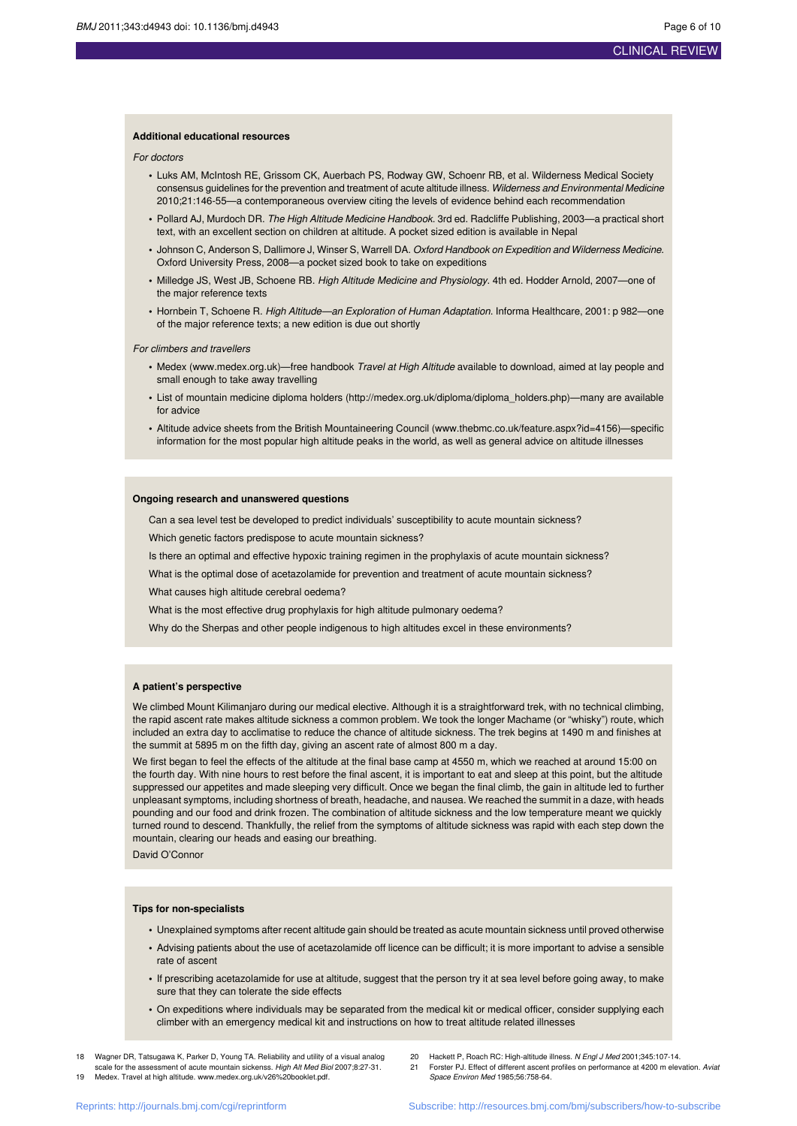#### **Additional educational resources**

#### For doctors

- **•** Luks AM, McIntosh RE, Grissom CK, Auerbach PS, Rodway GW, Schoenr RB, et al. Wilderness Medical Society consensus guidelines for the prevention and treatment of acute altitude illness. Wilderness and Environmental Medicine 2010;21:146-55—a contemporaneous overview citing the levels of evidence behind each recommendation
- **•** Pollard AJ, Murdoch DR. The High Altitude Medicine Handbook. 3rd ed. Radcliffe Publishing, 2003—a practical short text, with an excellent section on children at altitude. A pocket sized edition is available in Nepal
- **•** Johnson C, Anderson S, Dallimore J, Winser S, Warrell DA. Oxford Handbook on Expedition and Wilderness Medicine. Oxford University Press, 2008—a pocket sized book to take on expeditions
- **•** Milledge JS, West JB, Schoene RB. High Altitude Medicine and Physiology. 4th ed. Hodder Arnold, 2007—one of the major reference texts
- **•** Hornbein T, Schoene R. High Altitude—an Exploration of Human Adaptation. Informa Healthcare, 2001: p 982—one of the major reference texts; a new edition is due out shortly

#### For climbers and travellers

- **•** Medex [\(www.medex.org.uk](http://www.medex.org.uk/))—free handbook Travel at High Altitude available to download, aimed at lay people and small enough to take away travelling
- **•** List of mountain medicine diploma holders ([http://medex.org.uk/diploma/diploma\\_holders.php\)](http://medex.org.uk/diploma/diploma_holders.php)—many are available for advice
- **•** Altitude advice sheets from the British Mountaineering Council [\(www.thebmc.co.uk/feature.aspx?id=4156](http://www.thebmc.co.uk/feature.aspx?id=4156))—specific information for the most popular high altitude peaks in the world, as well as general advice on altitude illnesses

#### **Ongoing research and unanswered questions**

Can a sea level test be developed to predict individuals' susceptibility to acute mountain sickness?

Which genetic factors predispose to acute mountain sickness?

Is there an optimal and effective hypoxic training regimen in the prophylaxis of acute mountain sickness?

What is the optimal dose of acetazolamide for prevention and treatment of acute mountain sickness?

What causes high altitude cerebral oedema?

What is the most effective drug prophylaxis for high altitude pulmonary oedema?

Why do the Sherpas and other people indigenous to high altitudes excel in these environments?

#### **A patient's perspective**

We climbed Mount Kilimanjaro during our medical elective. Although it is a straightforward trek, with no technical climbing, the rapid ascent rate makes altitude sickness a common problem. We took the longer Machame (or "whisky") route, which included an extra day to acclimatise to reduce the chance of altitude sickness. The trek begins at 1490 m and finishes at the summit at 5895 m on the fifth day, giving an ascent rate of almost 800 m a day.

We first began to feel the effects of the altitude at the final base camp at 4550 m, which we reached at around 15:00 on the fourth day. With nine hours to rest before the final ascent, it is important to eat and sleep at this point, but the altitude suppressed our appetites and made sleeping very difficult. Once we began the final climb, the gain in altitude led to further unpleasant symptoms, including shortness of breath, headache, and nausea. We reached the summit in a daze, with heads pounding and our food and drink frozen. The combination of altitude sickness and the low temperature meant we quickly turned round to descend. Thankfully, the relief from the symptoms of altitude sickness was rapid with each step down the mountain, clearing our heads and easing our breathing.

David O'Connor

#### **Tips for non-specialists**

- **•** Unexplained symptoms after recent altitude gain should be treated as acute mountain sickness until proved otherwise
- **•** Advising patients about the use of acetazolamide off licence can be difficult; it is more important to advise a sensible rate of ascent
- **•** If prescribing acetazolamide for use at altitude, suggest that the person try it at sea level before going away, to make sure that they can tolerate the side effects
- **•** On expeditions where individuals may be separated from the medical kit or medical officer, consider supplying each climber with an emergency medical kit and instructions on how to treat altitude related illnesses

18 Wagner DR, Tatsugawa K, Parker D, Young TA. Reliability and utility of a visual analog ale for the assessment of acute mountain sickenss. High Alt Med Biol 2007;8:27-31. 19 Medex. Travel at high altitude. [www.medex.org.uk/v26%20booklet.pdf](http://www.medex.org.uk/v26%20booklet.pdf).

- 20 Hackett P, Roach RC: High-altitude illness. N Engl J Med 2001;345:107-14.
- 21 Forster PJ. Effect of different ascent profiles on performance at 4200 m elevation. Aviat Space Environ Med 1985;56:758-64.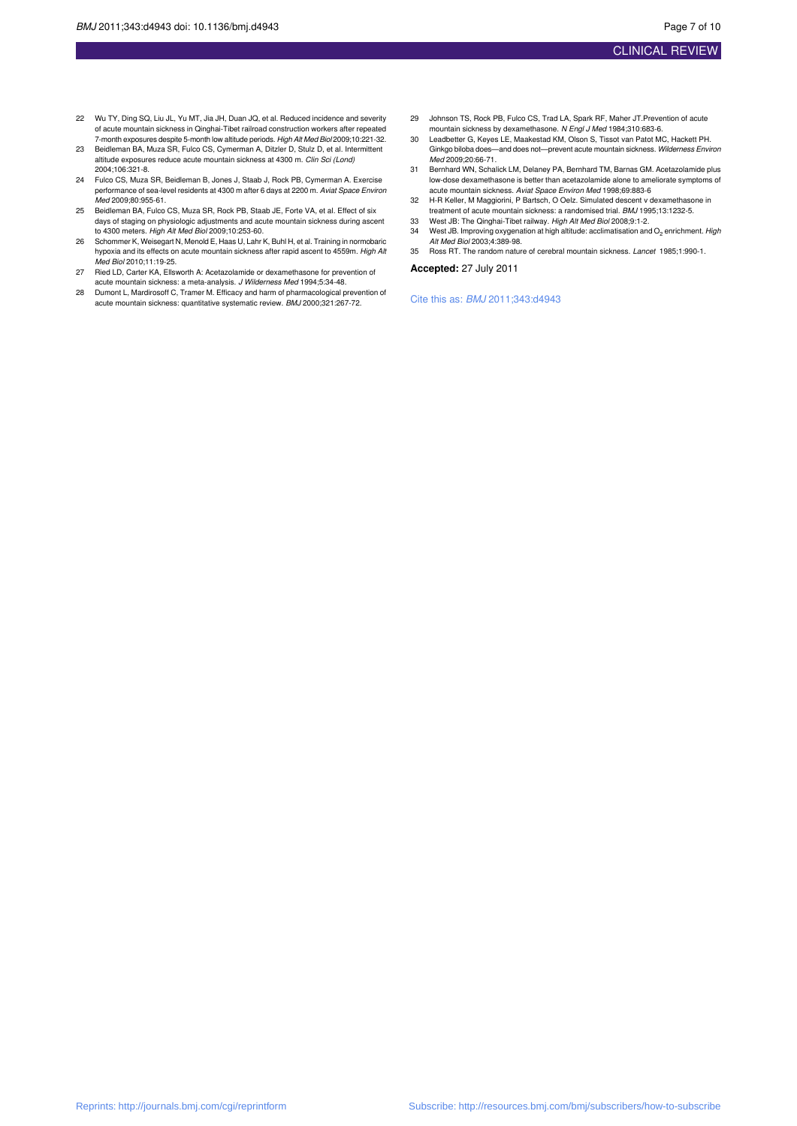- 22 Wu TY, Ding SQ, Liu JL, Yu MT, Jia JH, Duan JQ, et al. Reduced incidence and severity of acute mountain sickness in Qinghai-Tibet railroad construction workers after repeated 7-month exposures despite 5-month low altitude periods. High Alt Med Biol 2009;10:221-32.
- 23 Beidleman BA, Muza SR, Fulco CS, Cymerman A, Ditzler D, Stulz D, et al. Intermittent altitude exposures reduce acute mountain sickness at 4300 m. Clin Sci (Lond) 2004;106:321-8.
- 24 Fulco CS, Muza SR, Beidleman B, Jones J, Staab J, Rock PB, Cymerman A. Exercise performance of sea-level residents at 4300 m after 6 days at 2200 m. Aviat Space Environ Med 2009;80:955-61.
- 25 Beidleman BA, Fulco CS, Muza SR, Rock PB, Staab JE, Forte VA, et al. Effect of six days of staging on physiologic adjustments and acute mountain sickness during ascent to 4300 meters. High Alt Med Biol 2009;10:253-60.
- 26 Schommer K, Weisegart N, Menold E, Haas U, Lahr K, Buhl H, et al. Training in normobaric hypoxia and its effects on acute mountain sickness after rapid ascent to 4559m. High Alt Med Biol 2010;11:19-25.
- 27 Ried LD, Carter KA, Ellsworth A: Acetazolamide or dexamethasone for prevention of acute mountain sickness: a meta-analysis. J Wilderness Med 1994;5:34-48.
- 28 Dumont L, Mardirosoff C, Tramer M. Efficacy and harm of pharmacological prevention of acute mountain sickness: quantitative systematic review. BMJ 2000;321:267-72.
- 29 Johnson TS, Rock PB, Fulco CS, Trad LA, Spark RF, Maher JT.Prevention of acute mountain sickness by dexamethasone. N Engl J Med 1984;310:683-6.
- 30 Leadbetter G, Keyes LE, Maakestad KM, Olson S, Tissot van Patot MC, Hackett PH. Ginkgo biloba does-and does not--prevent acute mountain sickness. Wilderness Environ Med 2009;20:66-71.
- 31 Bernhard WN, Schalick LM, Delaney PA, Bernhard TM, Barnas GM. Acetazolamide plus low-dose dexamethasone is better than acetazolamide alone to ameliorate symptoms of acute mountain sickness. Aviat Space Environ Med 1998;69:883-6
- 32 H-R Keller, M Maggiorini, P Bartsch, O Oelz. Simulated descent v dexamethasone in treatment of acute mountain sickness: a randomised trial. BMJ 1995;13:1232-5.
- 33 West JB: The Qinghai-Tibet railway. High Alt Med Biol 2008;9:1-2.<br>34 West JB: Improving oxygenation at high altitude: acclimatisation and West JB. Improving oxygenation at high altitude: acclimatisation and  $O_2$  enrichment. High
- Alt Med Biol 2003;4:389-98. 35 Ross RT. The random nature of cerebral mountain sickness. Lancet 1985;1:990-1.

**Accepted:** 27 July 2011

Cite this as: BMJ 2011;343:d4943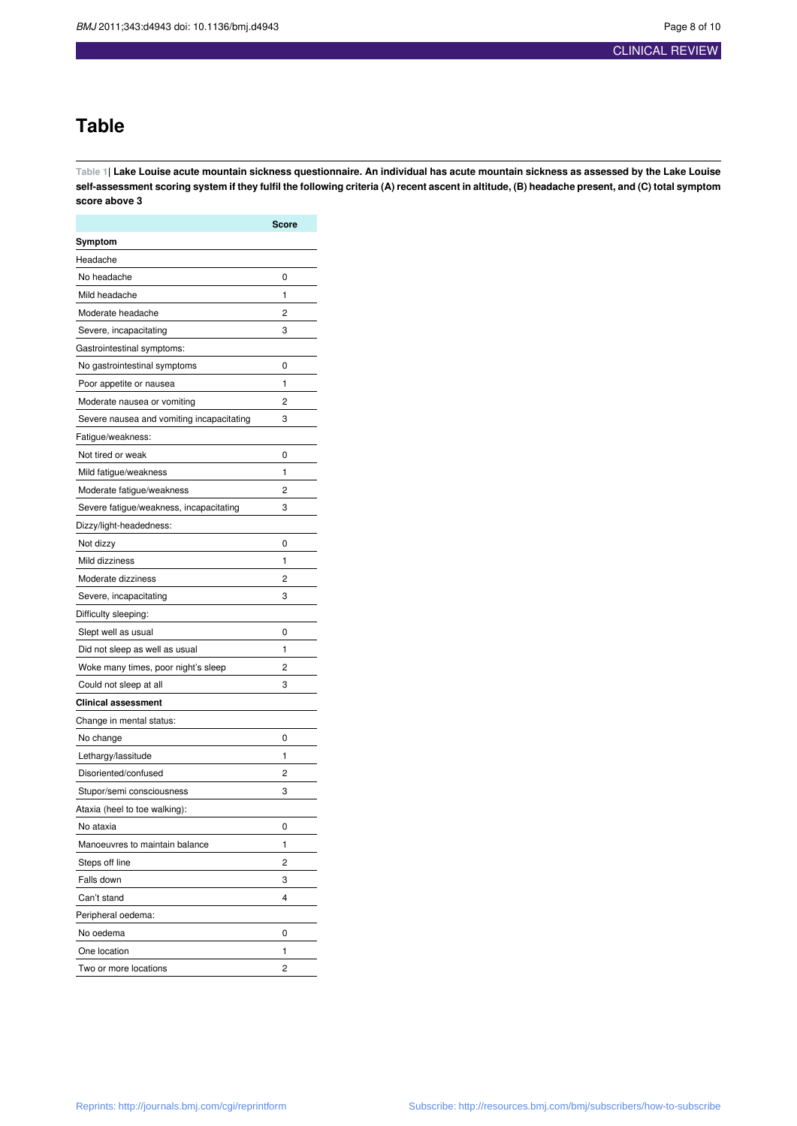## **Table**

Table 1| Lake Louise acute mountain sickness questionnaire. An individual has acute mountain sickness as assessed by the Lake Louise self-assessment scoring system if they fulfil the following criteria (A) recent ascent in altitude, (B) headache present, and (C) total symptom **score above 3**

|                                           | Score |
|-------------------------------------------|-------|
| Symptom                                   |       |
| Headache                                  |       |
| No headache                               | 0     |
| Mild headache                             | 1     |
| Moderate headache                         | 2     |
| Severe, incapacitating                    | 3     |
| Gastrointestinal symptoms:                |       |
| No gastrointestinal symptoms              | 0     |
| Poor appetite or nausea                   | 1     |
| Moderate nausea or vomiting               | 2     |
| Severe nausea and vomiting incapacitating | 3     |
| Fatigue/weakness:                         |       |
| Not tired or weak                         | 0     |
| Mild fatigue/weakness                     | 1     |
| Moderate fatigue/weakness                 | 2     |
| Severe fatigue/weakness, incapacitating   | 3     |
| Dizzy/light-headedness:                   |       |
| Not dizzy                                 | 0     |
| Mild dizziness                            | 1     |
| Moderate dizziness                        | 2     |
| Severe, incapacitating                    | 3     |
| Difficulty sleeping:                      |       |
| Slept well as usual                       | 0     |
| Did not sleep as well as usual            | 1     |
| Woke many times, poor night's sleep       | 2     |
| Could not sleep at all                    | 3     |
| <b>Clinical assessment</b>                |       |
| Change in mental status:                  |       |
| No change                                 | 0     |
| Lethargy/lassitude                        | 1     |
| Disoriented/confused                      | 2     |
| Stupor/semi consciousness                 | 3     |
| Ataxia (heel to toe walking):             |       |
| No ataxia                                 | 0     |
| Manoeuvres to maintain balance            | 1     |
| Steps off line                            | 2     |
| Falls down                                | 3     |
| Can't stand                               | 4     |
| Peripheral oedema:                        |       |
| No oedema                                 | 0     |
| One location                              | 1     |
| Two or more locations                     | 2     |
|                                           |       |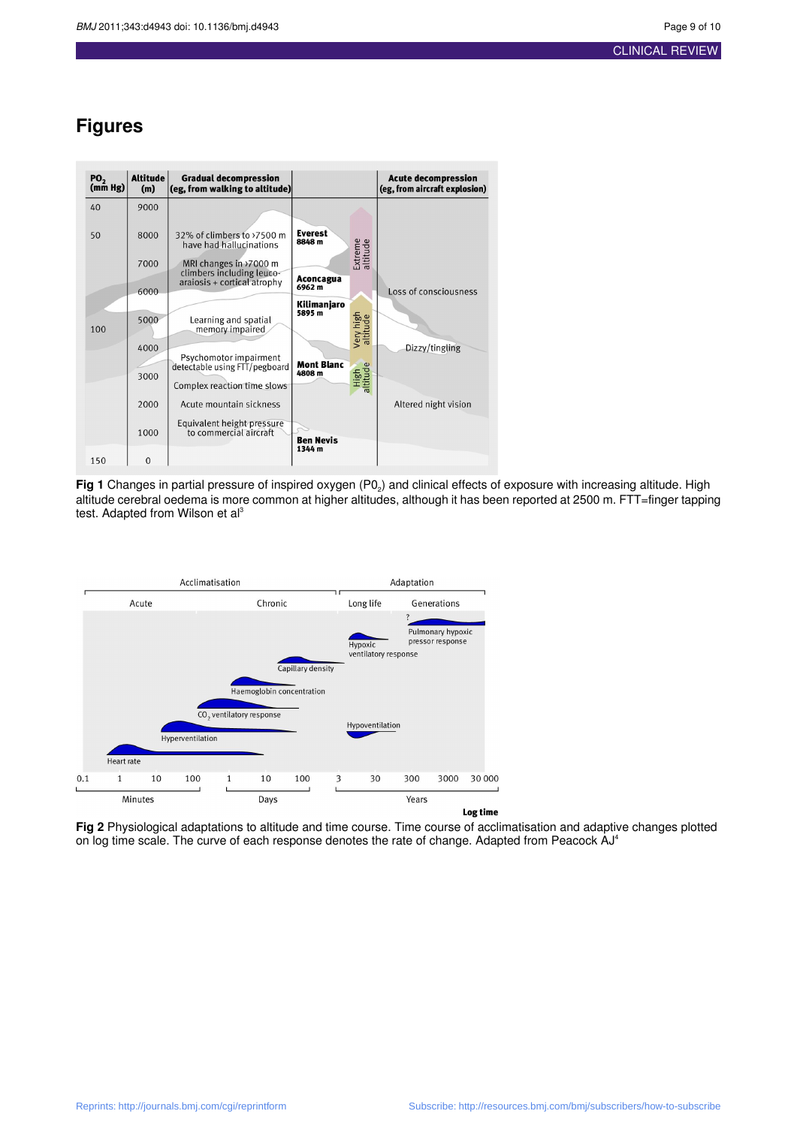## **Figures**

| PO <sub>2</sub><br>(mm Hg) | <b>Altitude</b><br>(m) | <b>Gradual decompression</b><br>(eg, from walking to altitude) |                                                 | <b>Acute decompression</b><br>(eg, from aircraft explosion) |
|----------------------------|------------------------|----------------------------------------------------------------|-------------------------------------------------|-------------------------------------------------------------|
| 40                         | 9000                   |                                                                |                                                 |                                                             |
| 50                         | 8000                   | 32% of climbers to >7500 m<br>have had hallucinations          | <b>Everest</b><br>8848 m<br>Extreme<br>altitude |                                                             |
|                            | 7000                   | MRI changes in $>7000$ m<br>climbers including leuco-          |                                                 |                                                             |
|                            | 6000                   | araiosis + cortical atrophy                                    | Aconcagua<br>6962 m                             | Loss of consciousness                                       |
| 100                        | 5000                   | Learning and spatial<br>memory impaired                        | Kilimanjaro<br>5895 m<br>Very high<br>altitude  |                                                             |
|                            | 4000<br>3000           | Psychomotor impairment<br>detectable using FTT/pegboard        | <b>Mont Blanc</b><br>High<br>altitude<br>4808 m | Dizzy/tingling                                              |
|                            | 2000                   | Complex reaction time slows<br>Acute mountain sickness         |                                                 | Altered night vision                                        |
|                            | 1000                   | Equivalent height pressure<br>to commercial aircraft           | <b>Ben Nevis</b>                                |                                                             |
| 150                        | $\Omega$               |                                                                | 1344 m                                          |                                                             |

**Fig 1** Changes in partial pressure of inspired oxygen (P0<sub>2</sub>) and clinical effects of exposure with increasing altitude. High altitude cerebral oedema is more common at higher altitudes, although it has been reported at 2500 m. FTT=finger tapping test. Adapted from Wilson et al<sup>3</sup>



**Fig 2** Physiological adaptations to altitude and time course. Time course of acclimatisation and adaptive changes plotted on log time scale. The curve of each response denotes the rate of change. Adapted from Peacock AJ<sup>4</sup>